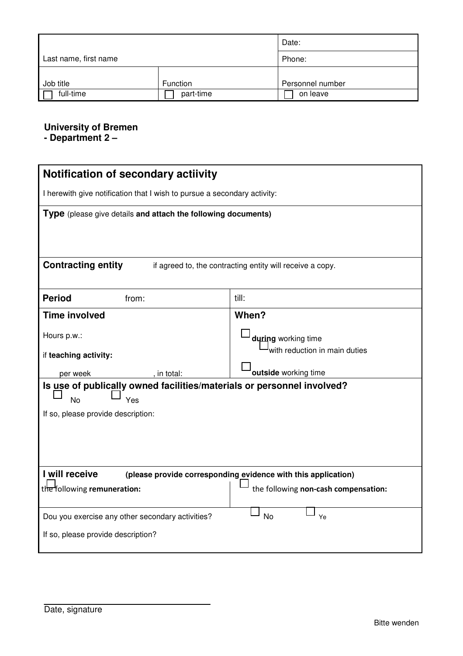|                       | Date:     |                  |  |
|-----------------------|-----------|------------------|--|
| Last name, first name | Phone:    |                  |  |
| Job title             | Function  | Personnel number |  |
| full-time             | part-time | on leave         |  |

## **University of Bremen**

**- Department 2 –** 

| Notification of secondary actiivity                                                    |                                      |  |  |  |  |  |  |
|----------------------------------------------------------------------------------------|--------------------------------------|--|--|--|--|--|--|
| I herewith give notification that I wish to pursue a secondary activity:               |                                      |  |  |  |  |  |  |
| <b>Type</b> (please give details and attach the following documents)                   |                                      |  |  |  |  |  |  |
|                                                                                        |                                      |  |  |  |  |  |  |
| <b>Contracting entity</b><br>if agreed to, the contracting entity will receive a copy. |                                      |  |  |  |  |  |  |
| <b>Period</b><br>from:                                                                 | till:                                |  |  |  |  |  |  |
| <b>Time involved</b>                                                                   | When?                                |  |  |  |  |  |  |
| Hours p.w.:                                                                            | during working time                  |  |  |  |  |  |  |
| if teaching activity:                                                                  | with reduction in main duties        |  |  |  |  |  |  |
| per week<br>, in total:                                                                | outside working time                 |  |  |  |  |  |  |
| Is use of publically owned facilities/materials or personnel involved?                 |                                      |  |  |  |  |  |  |
| <b>No</b><br>Yes<br>If so, please provide description:                                 |                                      |  |  |  |  |  |  |
|                                                                                        |                                      |  |  |  |  |  |  |
|                                                                                        |                                      |  |  |  |  |  |  |
|                                                                                        |                                      |  |  |  |  |  |  |
| I will receive<br>(please provide corresponding evidence with this application)        |                                      |  |  |  |  |  |  |
| the following remuneration:                                                            | the following non-cash compensation: |  |  |  |  |  |  |
| Dou you exercise any other secondary activities?                                       | <b>No</b><br>Ye                      |  |  |  |  |  |  |
| If so, please provide description?                                                     |                                      |  |  |  |  |  |  |